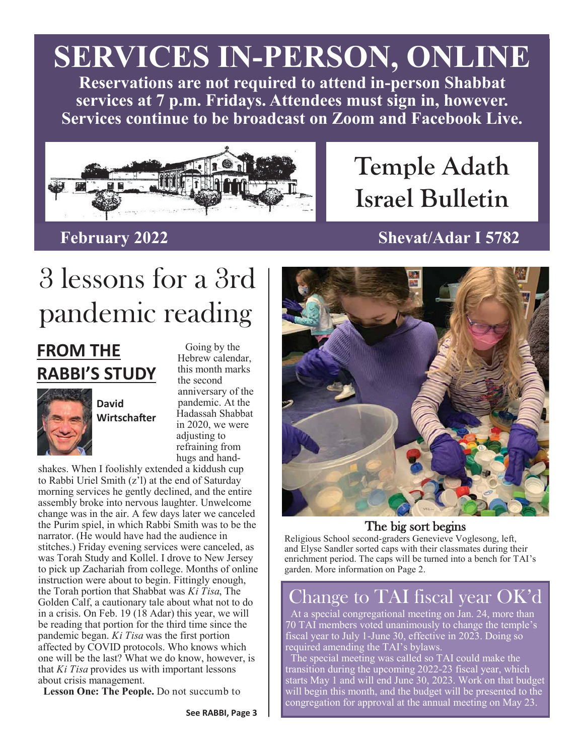# **SERVICES IN-PERSON, ONLINE**

**Reservations are not required to attend in-person Shabbat services at 7 p.m. Fridays. Attendees must sign in, however. Services continue to be broadcast on Zoom and Facebook Live.**



# **Temple Adath Israel Bulletin**

## **February 2022 Shevat/Adar I 5782**

# 3 lessons for a 3rd pandemic reading

# **FROM THE RABBI'S STUDY**



 Going by the Hebrew calendar, this month marks the second anniversary of the pandemic. At the Hadassah Shabbat in 2020, we were adjusting to refraining from hugs and hand-

shakes. When I foolishly extended a kiddush cup to Rabbi Uriel Smith (z'l) at the end of Saturday morning services he gently declined, and the entire assembly broke into nervous laughter. Unwelcome change was in the air. A few days later we canceled the Purim spiel, in which Rabbi Smith was to be the narrator. (He would have had the audience in stitches.) Friday evening services were canceled, as was Torah Study and Kollel. I drove to New Jersey to pick up Zachariah from college. Months of online instruction were about to begin. Fittingly enough, the Torah portion that Shabbat was *Ki Tisa*, The Golden Calf, a cautionary tale about what not to do in a crisis. On Feb. 19 (18 Adar) this year, we will be reading that portion for the third time since the pandemic began. *Ki Tisa* was the first portion affected by COVID protocols. Who knows which one will be the last? What we do know, however, is that *Ki Tisa* provides us with important lessons about crisis management.

**Lesson One: The People.** Do not succumb to



### The big sort begins

Religious School second-graders Genevieve Voglesong, left, and Elyse Sandler sorted caps with their classmates during their enrichment period. The caps will be turned into a bench for TAI's garden. More information on Page 2.

# 'hange to TAI fiscal year OK'd

 At a special congregational meeting on Jan. 24, more than 70 TAI members voted unanimously to change the temple's fiscal year to July 1-June 30, effective in 2023. Doing so required amending the TAI's bylaws.

 The special meeting was called so TAI could make the transition during the upcoming 2022-23 fiscal year, which starts May 1 and will end June 30, 2023. Work on that budget will begin this month, and the budget will be presented to the congregation for approval at the annual meeting on May 23.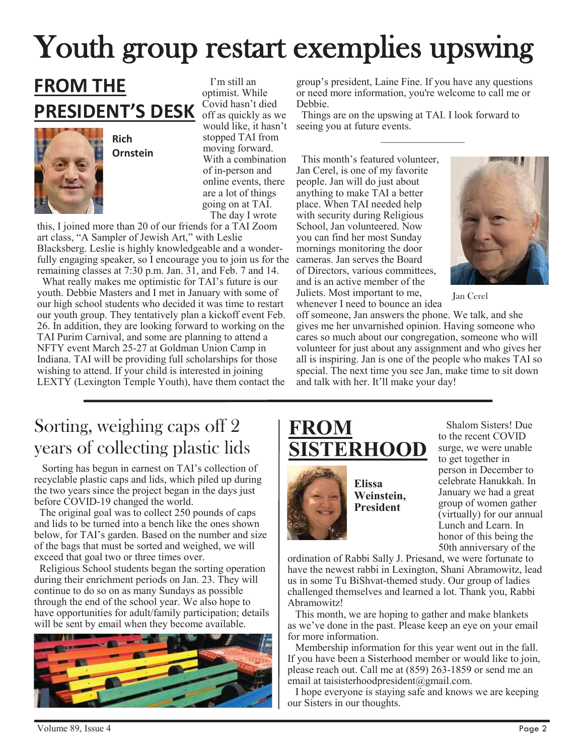# Youth group restart exemplies upswing

# **FROM THE PRESIDENT'S DESK**

**Rich Ornstein** 

 I'm still an optimist. While Covid hasn't died off as quickly as we would like, it hasn't stopped TAI from moving forward. With a combination of in-person and online events, there are a lot of things going on at TAI. The day I wrote

this, I joined more than 20 of our friends for a TAI Zoom art class, "A Sampler of Jewish Art," with Leslie Blacksberg. Leslie is highly knowledgeable and a wonderfully engaging speaker, so I encourage you to join us for the remaining classes at 7:30 p.m. Jan. 31, and Feb. 7 and 14.

 What really makes me optimistic for TAI's future is our youth. Debbie Masters and I met in January with some of our high school students who decided it was time to restart our youth group. They tentatively plan a kickoff event Feb. 26. In addition, they are looking forward to working on the TAI Purim Carnival, and some are planning to attend a NFTY event March 25-27 at Goldman Union Camp in Indiana. TAI will be providing full scholarships for those wishing to attend. If your child is interested in joining  $LEXTY$  (Lexington Temple Youth), have them contact the

group's president, Laine Fine. If you have any questions or need more information, you're welcome to call me or Debbie.

 $\mathcal{L}_\text{max}$ 

 Things are on the upswing at TAI. I look forward to seeing you at future events.

 This month's featured volunteer, Jan Cerel, is one of my favorite people. Jan will do just about anything to make TAI a better place. When TAI needed help with security during Religious School, Jan volunteered. Now you can find her most Sunday mornings monitoring the door cameras. Jan serves the Board of Directors, various committees, and is an active member of the Juliets. Most important to me, whenever I need to bounce an idea



Jan Cerel

off someone, Jan answers the phone. We talk, and she gives me her unvarnished opinion. Having someone who cares so much about our congregation, someone who will volunteer for just about any assignment and who gives her all is inspiring. Jan is one of the people who makes TAI so special. The next time you see Jan, make time to sit down and talk with her. It'll make your day!

# Sorting, weighing caps off 2 years of collecting plastic lids

 Sorting has begun in earnest on TAI's collection of recyclable plastic caps and lids, which piled up during the two years since the project began in the days just before COVID-19 changed the world.

 The original goal was to collect 250 pounds of caps and lids to be turned into a bench like the ones shown below, for TAI's garden. Based on the number and size of the bags that must be sorted and weighed, we will exceed that goal two or three times over.

 Religious School students began the sorting operation during their enrichment periods on Jan. 23. They will continue to do so on as many Sundays as possible through the end of the school year. We also hope to have opportunities for adult/family participation; details will be sent by email when they become available.



# **FROM ERHOOD**



**Weinstein,** 

 Shalom Sisters! Due to the recent COVID surge, we were unable to get together in person in December to celebrate Hanukkah. In January we had a great group of women gather (virtually) for our annual Lunch and Learn. In honor of this being the 50th anniversary of the

ordination of Rabbi Sally J. Priesand, we were fortunate to have the newest rabbi in Lexington, Shani Abramowitz, lead us in some Tu BiShvat-themed study. Our group of ladies challenged themselves and learned a lot. Thank you, Rabbi Abramowitz!

 This month, we are hoping to gather and make blankets as we've done in the past. Please keep an eye on your email for more information.

 Membership information for this year went out in the fall. If you have been a Sisterhood member or would like to join, please reach out. Call me at (859) 263-1859 or send me an email at taisisterhoodpresident@gmail.com.

 I hope everyone is staying safe and knows we are keeping our Sisters in our thoughts.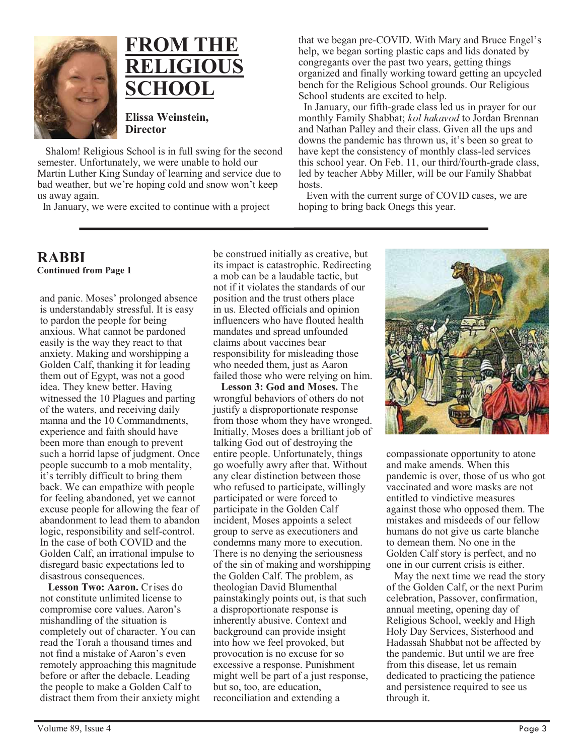

# **FROM THE RELIGIOUS SCHOOL**

**Elissa Weinstein, Director** 

 Shalom! Religious School is in full swing for the second semester. Unfortunately, we were unable to hold our Martin Luther King Sunday of learning and service due to bad weather, but we're hoping cold and snow won't keep us away again.

In January, we were excited to continue with a project

that we began pre-COVID. With Mary and Bruce Engel's help, we began sorting plastic caps and lids donated by congregants over the past two years, getting things organized and finally working toward getting an upcycled bench for the Religious School grounds. Our Religious School students are excited to help.

 In January, our fifth-grade class led us in prayer for our monthly Family Shabbat; *kol hakavod* to Jordan Brennan and Nathan Palley and their class. Given all the ups and downs the pandemic has thrown us, it's been so great to have kept the consistency of monthly class-led services this school year. On Feb. 11, our third/fourth-grade class, led by teacher Abby Miller, will be our Family Shabbat hosts.

 Even with the current surge of COVID cases, we are hoping to bring back Onegs this year.

#### **RABBI Continued from Page 1**

and panic. Moses' prolonged absence is understandably stressful. It is easy to pardon the people for being anxious. What cannot be pardoned easily is the way they react to that anxiety. Making and worshipping a Golden Calf, thanking it for leading them out of Egypt, was not a good idea. They knew better. Having witnessed the 10 Plagues and parting of the waters, and receiving daily manna and the 10 Commandments, experience and faith should have been more than enough to prevent such a horrid lapse of judgment. Once people succumb to a mob mentality, it's terribly difficult to bring them back. We can empathize with people for feeling abandoned, yet we cannot excuse people for allowing the fear of abandonment to lead them to abandon logic, responsibility and self-control. In the case of both COVID and the Golden Calf, an irrational impulse to disregard basic expectations led to disastrous consequences.

**Lesson Two: Aaron.** Crises do not constitute unlimited license to compromise core values. Aaron's mishandling of the situation is completely out of character. You can read the Torah a thousand times and not find a mistake of Aaron's even remotely approaching this magnitude before or after the debacle. Leading the people to make a Golden Calf to distract them from their anxiety might

be construed initially as creative, but its impact is catastrophic. Redirecting a mob can be a laudable tactic, but not if it violates the standards of our position and the trust others place in us. Elected officials and opinion influencers who have flouted health mandates and spread unfounded claims about vaccines bear responsibility for misleading those who needed them, just as Aaron failed those who were relying on him.

 **Lesson 3: God and Moses.** The wrongful behaviors of others do not justify a disproportionate response from those whom they have wronged. Initially, Moses does a brilliant job of talking God out of destroying the entire people. Unfortunately, things go woefully awry after that. Without any clear distinction between those who refused to participate, willingly participated or were forced to participate in the Golden Calf incident, Moses appoints a select group to serve as executioners and condemns many more to execution. There is no denying the seriousness of the sin of making and worshipping the Golden Calf. The problem, as theologian David Blumenthal painstakingly points out, is that such a disproportionate response is inherently abusive. Context and background can provide insight into how we feel provoked, but provocation is no excuse for so excessive a response. Punishment might well be part of a just response, but so, too, are education, reconciliation and extending a



compassionate opportunity to atone and make amends. When this pandemic is over, those of us who got vaccinated and wore masks are not entitled to vindictive measures against those who opposed them. The mistakes and misdeeds of our fellow humans do not give us carte blanche to demean them. No one in the Golden Calf story is perfect, and no one in our current crisis is either.

 May the next time we read the story of the Golden Calf, or the next Purim celebration, Passover, confirmation, annual meeting, opening day of Religious School, weekly and High Holy Day Services, Sisterhood and Hadassah Shabbat not be affected by the pandemic. But until we are free from this disease, let us remain dedicated to practicing the patience and persistence required to see us through it.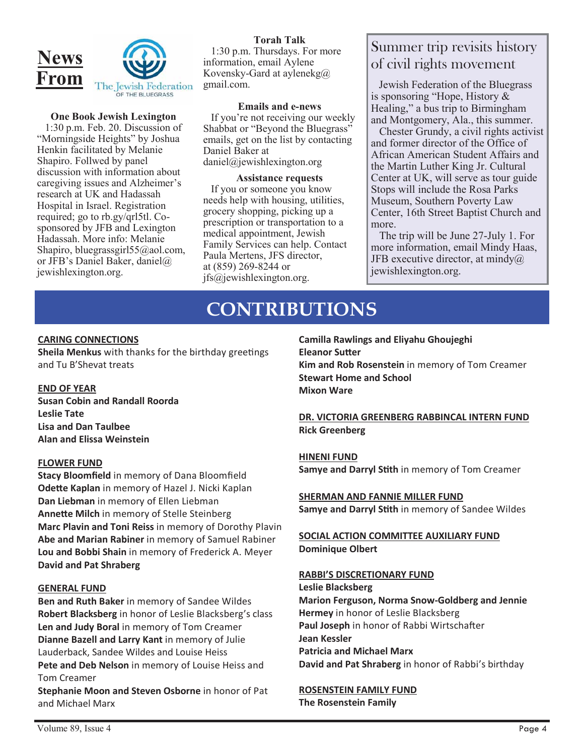

#### **One Book Jewish Lexington**

 1:30 p.m. Feb. 20. Discussion of "Morningside Heights" by Joshua Henkin facilitated by Melanie Shapiro. Follwed by panel discussion with information about caregiving issues and Alzheimer's research at UK and Hadassah Hospital in Israel. Registration required; go to rb.gy/qrl5tl. Cosponsored by JFB and Lexington Hadassah. More info: Melanie Shapiro, bluegrassgirl55@aol.com, or JFB's Daniel Baker, daniel@ jewishlexington.org.

#### **Torah Talk**  1:30 p.m. Thursdays. For more information, email Aylene Kovensky-Gard at aylenekg@ gmail.com.

**Emails and e-news**  If you're not receiving our weekly Shabbat or "Beyond the Bluegrass" emails, get on the list by contacting Daniel Baker at daniel@jewishlexington.org

#### **Assistance requests**

 If you or someone you know needs help with housing, utilities, grocery shopping, picking up a prescription or transportation to a medical appointment, Jewish Family Services can help. Contact Paula Mertens, JFS director, at (859) 269-8244 or jfs@jewishlexington.org.

## Summer trip revisits history of civil rights movement

 Jewish Federation of the Bluegrass is sponsoring "Hope, History & Healing," a bus trip to Birmingham and Montgomery, Ala., this summer.

 Chester Grundy, a civil rights activist and former director of the Office of African American Student Affairs and the Martin Luther King Jr. Cultural Center at UK, will serve as tour guide Stops will include the Rosa Parks Museum, Southern Poverty Law Center, 16th Street Baptist Church and more.

 The trip will be June 27-July 1. For more information, email Mindy Haas, JFB executive director, at mindy $@$ jewishlexington.org.

## **CONTRIBUTIONS**

#### **CARING CONNECTIONS**

**Sheila Menkus** with thanks for the birthday greetings and Tu B'Shevat treats

#### **END OF YEAR**

**Susan Cobin and Randall Roorda Leslie Tate Lisa and Dan Taulbee Alan and Elissa Weinstein** 

#### **FLOWER FUND**

**Stacy Bloomfield** in memory of Dana Bloomfield **Odette Kaplan** in memory of Hazel J. Nicki Kaplan **Dan Liebman** in memory of Ellen Liebman **AnneƩe Milch** in memory of Stelle Steinberg **Marc Plavin and Toni Reiss** in memory of Dorothy Plavin **Abe and Marian Rabiner** in memory of Samuel Rabiner **Lou and Bobbi Shain** in memory of Frederick A. Meyer **David and Pat Shraberg** 

#### **GENERAL FUND**

**Ben and Ruth Baker** in memory of Sandee Wildes **Robert Blacksberg** in honor of Leslie Blacksberg's class **Len and Judy Boral** in memory of Tom Creamer **Dianne Bazell and Larry Kant** in memory of Julie Lauderback, Sandee Wildes and Louise Heiss Pete and Deb Nelson in memory of Louise Heiss and Tom Creamer

**Stephanie Moon and Steven Osborne** in honor of Pat and Michael Marx

**Camilla Rawlings and Eliyahu Ghoujeghi Eleanor Sutter Kim and Rob Rosenstein** in memory of Tom Creamer **Stewart Home and School Mixon Ware**

#### **DR. VICTORIA GREENBERG RABBINCAL INTERN FUND Rick Greenberg**

#### **HINENI FUND**

**Samye and Darryl SƟth** in memory of Tom Creamer

**SHERMAN AND FANNIE MILLER FUND Samye and Darryl Stith** in memory of Sandee Wildes

**SOCIAL ACTION COMMITTEE AUXILIARY FUND Dominique Olbert** 

#### **RABBI'S DISCRETIONARY FUND**

**Leslie Blacksberg Marion Ferguson, Norma Snow-Goldberg and Jennie Hermey** in honor of Leslie Blacksberg Paul Joseph in honor of Rabbi Wirtschafter **Jean Kessler Patricia and Michael Marx David and Pat Shraberg** in honor of Rabbi's birthday

**ROSENSTEIN FAMILY FUND The Rosenstein Family**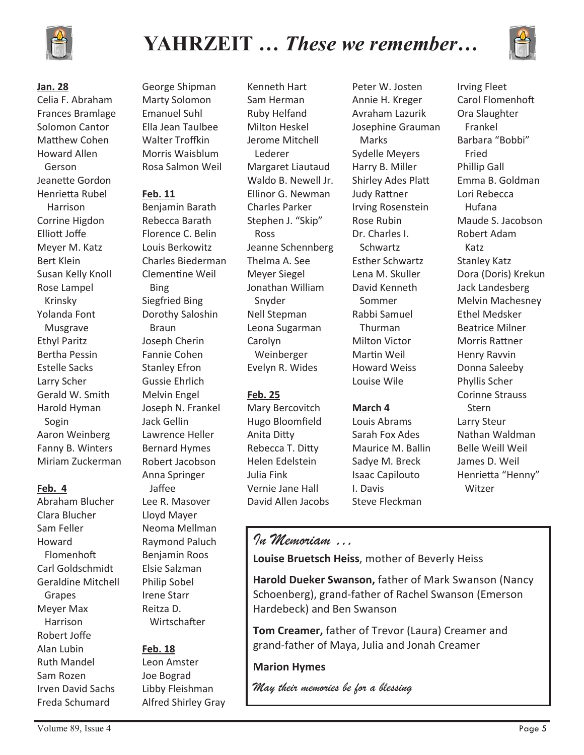

# **YAHRZEIT …** *These we remember***…**



#### **Jan. 28**

Celia F. Abraham Frances Bramlage Solomon Cantor Matthew Cohen Howard Allen Gerson Jeanette Gordon Henrietta Rubel Harrison Corrine Higdon EllioƩ Joffe Meyer M. Katz Bert Klein Susan Kelly Knoll Rose Lampel Krinsky Yolanda Font Musgrave Ethyl Paritz Bertha Pessin Estelle Sacks Larry Scher Gerald W. Smith Harold Hyman Sogin Aaron Weinberg Fanny B. Winters Miriam Zuckerman

#### **Feb. 4**

Abraham Blucher Clara Blucher Sam Feller Howard Flomenhoft Carl Goldschmidt Geraldine Mitchell Grapes Meyer Max Harrison Robert Joffe Alan Lubin Ruth Mandel Sam Rozen Irven David Sachs Freda Schumard

George Shipman Marty Solomon Emanuel Suhl Ella Jean Taulbee Walter Troffkin Morris Waisblum Rosa Salmon Weil

#### **Feb. 11**

Benjamin Barath Rebecca Barath Florence C. Belin Louis Berkowitz Charles Biederman ClemenƟne Weil Bing Siegfried Bing Dorothy Saloshin Braun Joseph Cherin Fannie Cohen Stanley Efron Gussie Ehrlich Melvin Engel Joseph N. Frankel Jack Gellin Lawrence Heller Bernard Hymes Robert Jacobson Anna Springer Jaffee Lee R. Masover Lloyd Mayer Neoma Mellman Raymond Paluch Benjamin Roos Elsie Salzman Philip Sobel Irene Starr Reitza D. Wirtschafter

#### **Feb. 18**

Leon Amster Joe Bograd Libby Fleishman Alfred Shirley Gray Kenneth Hart Sam Herman Ruby Helfand Milton Heskel Jerome Mitchell Lederer Margaret Liautaud Waldo B. Newell Jr. Ellinor G. Newman Charles Parker Stephen J. "Skip" Ross Jeanne Schennberg Thelma A. See Meyer Siegel Jonathan William Snyder Nell Stepman Leona Sugarman Carolyn Weinberger Evelyn R. Wides

#### **Feb. 25**

Mary Bercovitch Hugo Bloomfield Anita DiƩy Rebecca T. Ditty Helen Edelstein Julia Fink Vernie Jane Hall David Allen Jacobs

Peter W. Josten Annie H. Kreger Avraham Lazurik Josephine Grauman Marks Sydelle Meyers Harry B. Miller Shirley Ades Platt **Judy Rattner** Irving Rosenstein Rose Rubin Dr. Charles I. Schwartz Esther Schwartz Lena M. Skuller David Kenneth Sommer Rabbi Samuel Thurman Milton Victor Martin Weil Howard Weiss Louise Wile

#### **March 4**

Louis Abrams Sarah Fox Ades Maurice M. Ballin Sadye M. Breck Isaac Capilouto I. Davis Steve Fleckman

Irving Fleet Carol Flomenhoft Ora Slaughter Frankel Barbara "Bobbi" Fried Phillip Gall Emma B. Goldman Lori Rebecca Hufana Maude S. Jacobson Robert Adam Katz Stanley Katz Dora (Doris) Krekun Jack Landesberg Melvin Machesney Ethel Medsker Beatrice Milner Morris Rattner Henry Ravvin Donna Saleeby Phyllis Scher Corinne Strauss Stern Larry Steur Nathan Waldman Belle Weill Weil James D. Weil Henrietta "Henny" Witzer

### *In Memoriam …*

**Louise Bruetsch Heiss**, mother of Beverly Heiss

**Harold Dueker Swanson,** father of Mark Swanson (Nancy Schoenberg), grand-father of Rachel Swanson (Emerson Hardebeck) and Ben Swanson

**Tom Creamer,** father of Trevor (Laura) Creamer and grand-father of Maya, Julia and Jonah Creamer

#### **Marion Hymes**

*May their memories be for a blessing*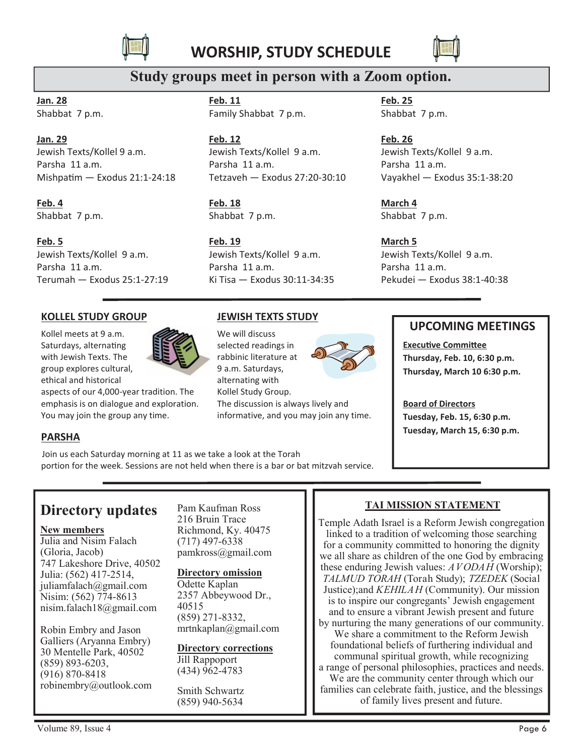



## **Study groups meet in person with a Zoom option.**

**Jan. 28** Shabbat 7 p.m.

#### **Jan. 29**

Jewish Texts/Kollel 9 a.m. Parsha 11 a.m. Mishpatim — Exodus 21:1-24:18

#### **Feb. 4**

Shabbat 7 p.m.

#### **Feb. 5**

Jewish Texts/Kollel 9 a.m. Parsha 11 a.m. Terumah — Exodus 25:1-27:19 **Feb. 11** Family Shabbat 7 p.m.

#### **Feb. 12** Jewish Texts/Kollel 9 a.m. Parsha 11 a.m. Tetzaveh — Exodus 27:20-30:10

**Feb. 18** Shabbat 7 p.m.

**Feb. 19** Jewish Texts/Kollel 9 a.m. Parsha 11 a.m. Ki Tisa — Exodus 30:11-34:35

**JEWISH TEXTS STUDY**

**Feb. 25** Shabbat 7 p.m.

**Feb. 26** Jewish Texts/Kollel 9 a.m. Parsha 11 a.m. Vayakhel — Exodus 35:1-38:20

**March 4** Shabbat 7 p.m.

**March 5** Jewish Texts/Kollel 9 a.m. Parsha 11 a.m. Pekudei — Exodus 38:1-40:38

#### **KOLLEL STUDY GROUP**

Kollel meets at 9 a.m. Saturdays, alternating with Jewish Texts. The group explores cultural, ethical and historical



aspects of our 4,000-year tradition. The emphasis is on dialogue and exploration. You may join the group any time.

## We will discuss selected readings in

rabbinic literature at 9 a.m. Saturdays, alternating with Kollel Study Group. The discussion is always lively and informative, and you may join any time.



### **UPCOMING MEETINGS**

**Executive Committee Thursday, Feb. 10, 6:30 p.m. Thursday, March 10 6:30 p.m.**

**Board of Directors Tuesday, Feb. 15, 6:30 p.m. Tuesday, March 15, 6:30 p.m.**

Join us each Saturday morning at 11 as we take a look at the Torah

portion for the week. Sessions are not held when there is a bar or bat mitzvah service.

## **Directory updates**

#### **New members**

**PARSHA**

Julia and Nisim Falach (Gloria, Jacob) 747 Lakeshore Drive, 40502 Julia: (562) 417-2514, juliamfalach@gmail.com Nisim: (562) 774-8613 nisim.falach18@gmail.com

Robin Embry and Jason Galliers (Aryanna Embry) 30 Mentelle Park, 40502 (859) 893-6203, (916) 870-8418 robinembry@outlook.com Pam Kaufman Ross 216 Bruin Trace Richmond, Ky. 40475 (717) 497-6338 pamkross@gmail.com

#### **Directory omission**

Odette Kaplan 2357 Abbeywood Dr., 40515 (859) 271-8332, mrtnkaplan@gmail.com

**Directory corrections** Jill Rappoport

(434) 962-4783

Smith Schwartz (859) 940-5634

#### **TAI MISSION STATEMENT**

Temple Adath Israel is a Reform Jewish congregation linked to a tradition of welcoming those searching for a community committed to honoring the dignity we all share as children of the one God by embracing these enduring Jewish values: *AVODAH* (Worship); *TALMUD TORAH* (Torah Study); *TZEDEK* (Social Justice);and *KEHILAH* (Community). Our mission is to inspire our congregants' Jewish engagement and to ensure a vibrant Jewish present and future by nurturing the many generations of our community. We share a commitment to the Reform Jewish foundational beliefs of furthering individual and communal spiritual growth, while recognizing a range of personal philosophies, practices and needs. We are the community center through which our families can celebrate faith, justice, and the blessings of family lives present and future.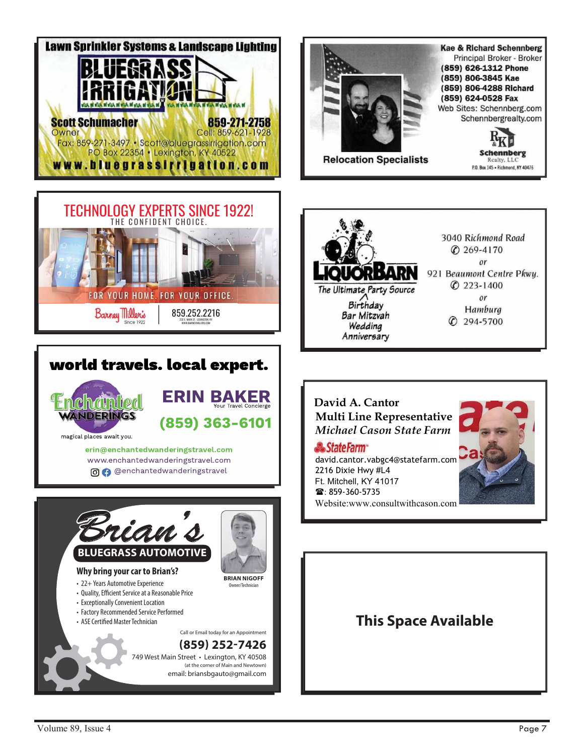



## world travels. local expert.



magical places await you. erin@enchantedwanderingstravel.com www.enchantedwanderingstravel.com

ERIN BAKER

(859) 363-6101

O O @enchantedwanderingstravel







### David A. Cantor Multi Line Representative Michael Cason State Farm

**StateFarm** 

david.cantor.vabgc4@statefarm.com 2216 Dixie Hwy #L4 Ft. Mitchell. KY 41017 **雷**: 859-360-5735 Website:www.consultwithcason.com



## **This Space Available**

Volume 89, Issue 4 Page 7